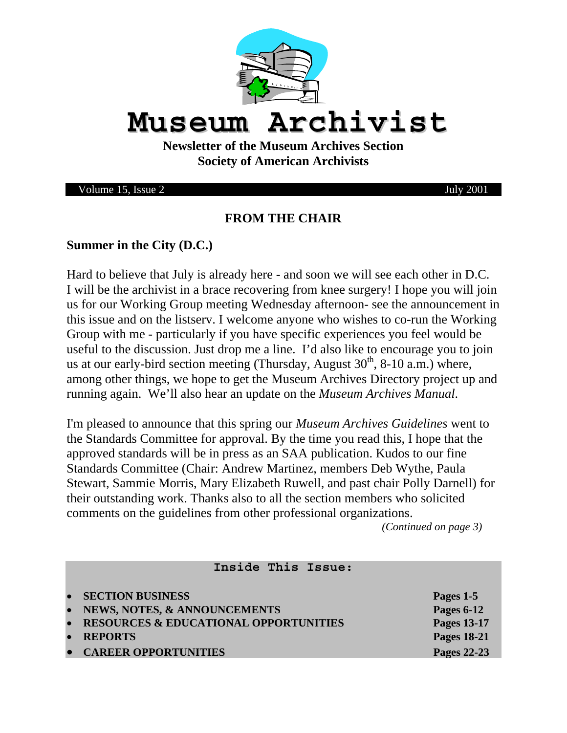

# **Museum Archivist**

**Newsletter of the Museum Archives Section Society of American Archivists** 

Volume 15, Issue 2 July 2001

#### **FROM THE CHAIR**

#### **Summer in the City (D.C.)**

Hard to believe that July is already here - and soon we will see each other in D.C. I will be the archivist in a brace recovering from knee surgery! I hope you will join us for our Working Group meeting Wednesday afternoon- see the announcement in this issue and on the listserv. I welcome anyone who wishes to co-run the Working Group with me - particularly if you have specific experiences you feel would be useful to the discussion. Just drop me a line. I'd also like to encourage you to join us at our early-bird section meeting (Thursday, August  $30<sup>th</sup>$ , 8-10 a.m.) where, among other things, we hope to get the Museum Archives Directory project up and running again. We'll also hear an update on the *Museum Archives Manual*.

I'm pleased to announce that this spring our *Museum Archives Guidelines* went to the Standards Committee for approval. By the time you read this, I hope that the approved standards will be in press as an SAA publication. Kudos to our fine Standards Committee (Chair: Andrew Martinez, members Deb Wythe, Paula Stewart, Sammie Morris, Mary Elizabeth Ruwell, and past chair Polly Darnell) for their outstanding work. Thanks also to all the section members who solicited comments on the guidelines from other professional organizations.

*(Continued on page 3)* 

# **Inside This Issue:**  • **SECTION BUSINESS Pages 1-5** • **NEWS, NOTES, & ANNOUNCEMENTS Pages 6-12**  • **RESOURCES & EDUCATIONAL OPPORTUNITIES Pages 13-17 • REPORTS** Pages 18-21 **• CAREER OPPORTUNITIES** Pages 22-23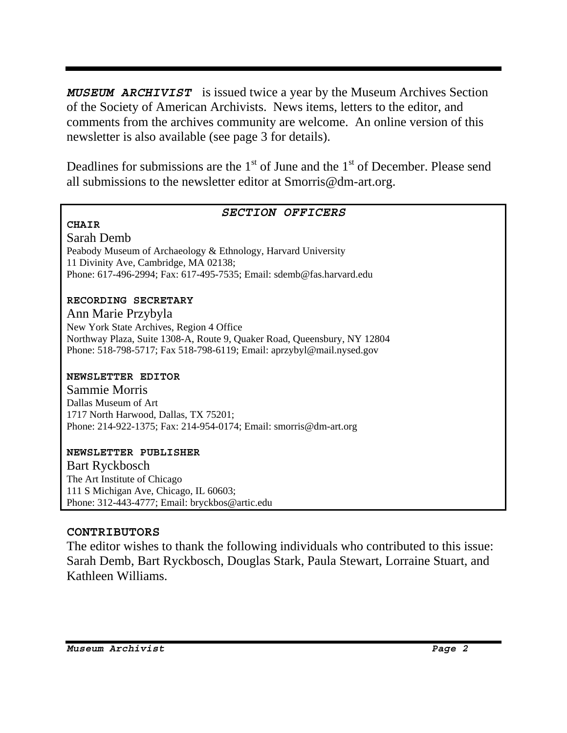*MUSEUM ARCHIVIST* is issued twice a year by the Museum Archives Section of the Society of American Archivists. News items, letters to the editor, and comments from the archives community are welcome. An online version of this newsletter is also available (see page 3 for details).

Deadlines for submissions are the  $1<sup>st</sup>$  of June and the  $1<sup>st</sup>$  of December. Please send all submissions to the newsletter editor at Smorris@dm-art.org.

#### *SECTION OFFICERS*

**CHAIR** 

Sarah Demb Peabody Museum of Archaeology & Ethnology, Harvard University 11 Divinity Ave, Cambridge, MA 02138; Phone: 617-496-2994; Fax: 617-495-7535; Email: sdemb@fas.harvard.edu

#### **RECORDING SECRETARY**

Ann Marie Przybyla New York State Archives, Region 4 Office Northway Plaza, Suite 1308-A, Route 9, Quaker Road, Queensbury, NY 12804 Phone: 518-798-5717; Fax 518-798-6119; Email: aprzybyl@mail.nysed.gov

#### **NEWSLETTER EDITOR**

Sammie Morris Dallas Museum of Art 1717 North Harwood, Dallas, TX 75201; Phone: 214-922-1375; Fax: 214-954-0174; Email: smorris@dm-art.org

#### **NEWSLETTER PUBLISHER**

Bart Ryckbosch The Art Institute of Chicago 111 S Michigan Ave, Chicago, IL 60603; Phone: 312-443-4777; Email: bryckbos@artic.edu

#### **CONTRIBUTORS**

The editor wishes to thank the following individuals who contributed to this issue: Sarah Demb, Bart Ryckbosch, Douglas Stark, Paula Stewart, Lorraine Stuart, and Kathleen Williams.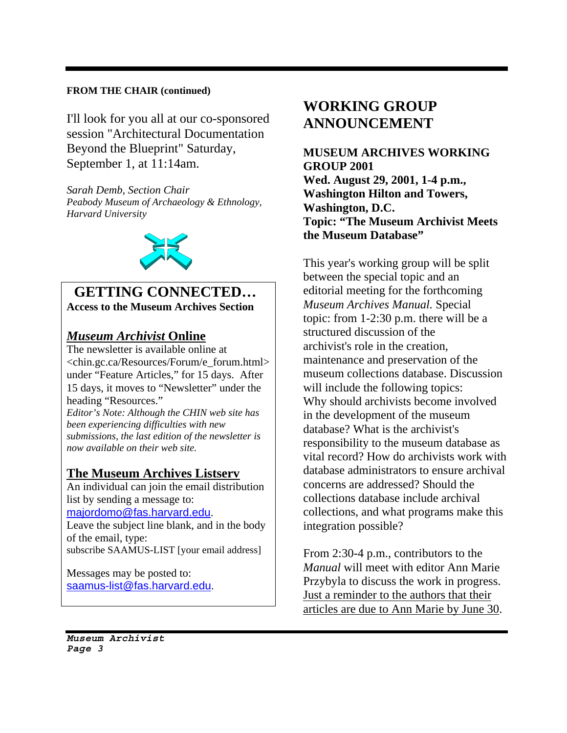#### **FROM THE CHAIR (continued)**

I'll look for you all at our co-sponsored session "Architectural Documentation Beyond the Blueprint" Saturday, September 1, at 11:14am.

*Sarah Demb, Section Chair Peabody Museum of Archaeology & Ethnology, Harvard University* 



#### **GETTING CONNECTED… Access to the Museum Archives Section**

#### *Museum Archivist* **Online**

The newsletter is available online at <chin.gc.ca/Resources/Forum/e\_forum.html> under "Feature Articles," for 15 days. After 15 days, it moves to "Newsletter" under the heading "Resources."

*Editor's Note: Although the CHIN web site has been experiencing difficulties with new submissions, the last edition of the newsletter is now available on their web site.* 

#### **The Museum Archives Listserv**

An individual can join the email distribution list by sending a message to: majordomo@fas.harvard.edu.

Leave the subject line blank, and in the body of the email, type: subscribe SAAMUS-LIST [your email address]

Messages may be posted to: saamus-list@fas.harvard.edu.

# **WORKING GROUP ANNOUNCEMENT**

**MUSEUM ARCHIVES WORKING GROUP 2001 Wed. August 29, 2001, 1-4 p.m., Washington Hilton and Towers, Washington, D.C. Topic: "The Museum Archivist Meets the Museum Database"** 

This year's working group will be split between the special topic and an editorial meeting for the forthcoming *Museum Archives Manual.* Special topic: from 1-2:30 p.m. there will be a structured discussion of the archivist's role in the creation, maintenance and preservation of the museum collections database. Discussion will include the following topics: Why should archivists become involved in the development of the museum database? What is the archivist's responsibility to the museum database as vital record? How do archivists work with database administrators to ensure archival concerns are addressed? Should the collections database include archival collections, and what programs make this integration possible?

From 2:30-4 p.m., contributors to the *Manual* will meet with editor Ann Marie Przybyla to discuss the work in progress. Just a reminder to the authors that their articles are due to Ann Marie by June 30.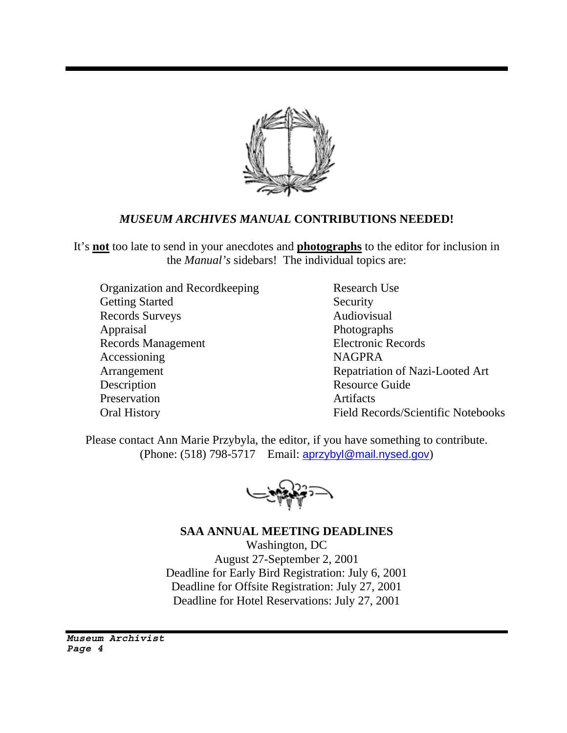

#### *MUSEUM ARCHIVES MANUAL* **CONTRIBUTIONS NEEDED!**

It's **not** too late to send in your anecdotes and **photographs** to the editor for inclusion in the *Manual's* sidebars! The individual topics are:

Organization and Recordkeeping Research Use Getting Started Security Records Surveys Audiovisual Appraisal Photographs Records Management Electronic Records Accessioning NAGPRA Arrangement Repatriation of Nazi-Looted Art Description Resource Guide Preservation Artifacts

Oral History Field Records/Scientific Notebooks

Please contact Ann Marie Przybyla, the editor, if you have something to contribute. (Phone: (518) 798-5717 Email: aprzybyl@mail.nysed.gov)

**SAA ANNUAL MEETING DEADLINES**

Washington, DC August 27-September 2, 2001 Deadline for Early Bird Registration: July 6, 2001 Deadline for Offsite Registration: July 27, 2001 Deadline for Hotel Reservations: July 27, 2001

*Museum Archivist Page 4*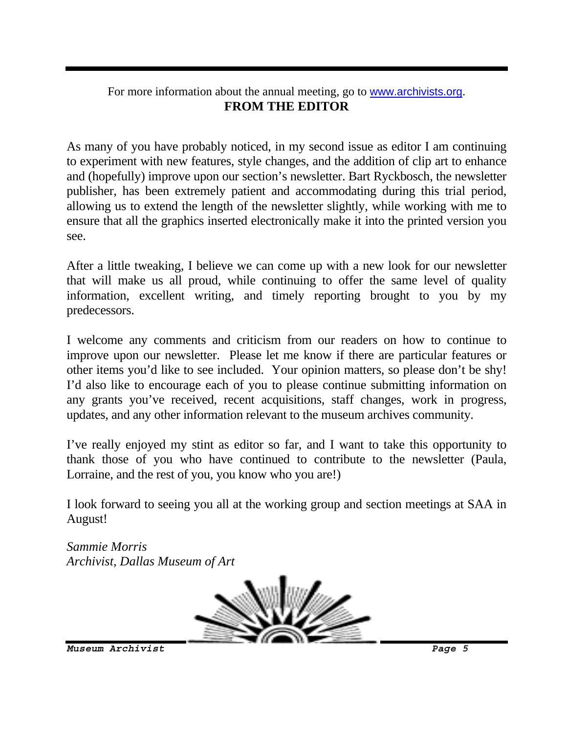#### For more information about the annual meeting, go to www.archivists.org. **FROM THE EDITOR**

As many of you have probably noticed, in my second issue as editor I am continuing to experiment with new features, style changes, and the addition of clip art to enhance and (hopefully) improve upon our section's newsletter. Bart Ryckbosch, the newsletter publisher, has been extremely patient and accommodating during this trial period, allowing us to extend the length of the newsletter slightly, while working with me to ensure that all the graphics inserted electronically make it into the printed version you see.

After a little tweaking, I believe we can come up with a new look for our newsletter that will make us all proud, while continuing to offer the same level of quality information, excellent writing, and timely reporting brought to you by my predecessors.

I welcome any comments and criticism from our readers on how to continue to improve upon our newsletter. Please let me know if there are particular features or other items you'd like to see included. Your opinion matters, so please don't be shy! I'd also like to encourage each of you to please continue submitting information on any grants you've received, recent acquisitions, staff changes, work in progress, updates, and any other information relevant to the museum archives community.

I've really enjoyed my stint as editor so far, and I want to take this opportunity to thank those of you who have continued to contribute to the newsletter (Paula, Lorraine, and the rest of you, you know who you are!)

I look forward to seeing you all at the working group and section meetings at SAA in August!

*Sammie Morris Archivist, Dallas Museum of Art* 

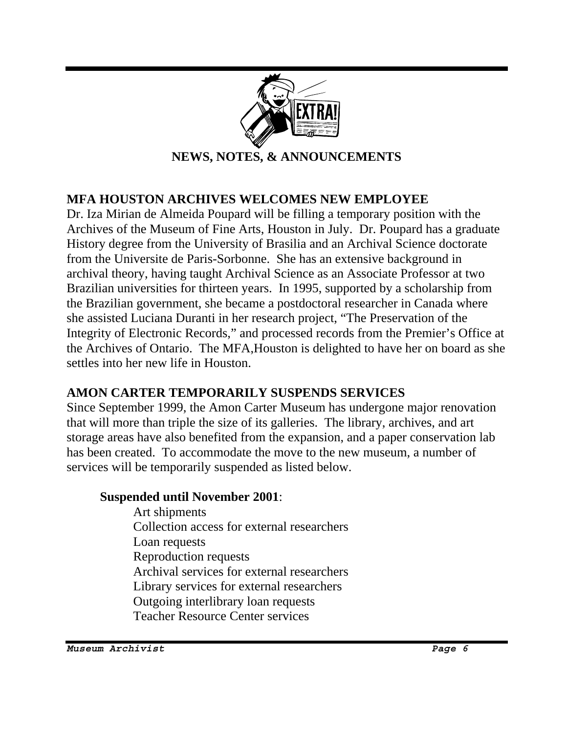

### **MFA HOUSTON ARCHIVES WELCOMES NEW EMPLOYEE**

Dr. Iza Mirian de Almeida Poupard will be filling a temporary position with the Archives of the Museum of Fine Arts, Houston in July. Dr. Poupard has a graduate History degree from the University of Brasilia and an Archival Science doctorate from the Universite de Paris-Sorbonne. She has an extensive background in archival theory, having taught Archival Science as an Associate Professor at two Brazilian universities for thirteen years. In 1995, supported by a scholarship from the Brazilian government, she became a postdoctoral researcher in Canada where she assisted Luciana Duranti in her research project, "The Preservation of the Integrity of Electronic Records," and processed records from the Premier's Office at the Archives of Ontario. The MFA,Houston is delighted to have her on board as she settles into her new life in Houston.

### **AMON CARTER TEMPORARILY SUSPENDS SERVICES**

Since September 1999, the Amon Carter Museum has undergone major renovation that will more than triple the size of its galleries. The library, archives, and art storage areas have also benefited from the expansion, and a paper conservation lab has been created. To accommodate the move to the new museum, a number of services will be temporarily suspended as listed below.

#### **Suspended until November 2001**:

 Art shipments Collection access for external researchers Loan requests Reproduction requests Archival services for external researchers Library services for external researchers Outgoing interlibrary loan requests Teacher Resource Center services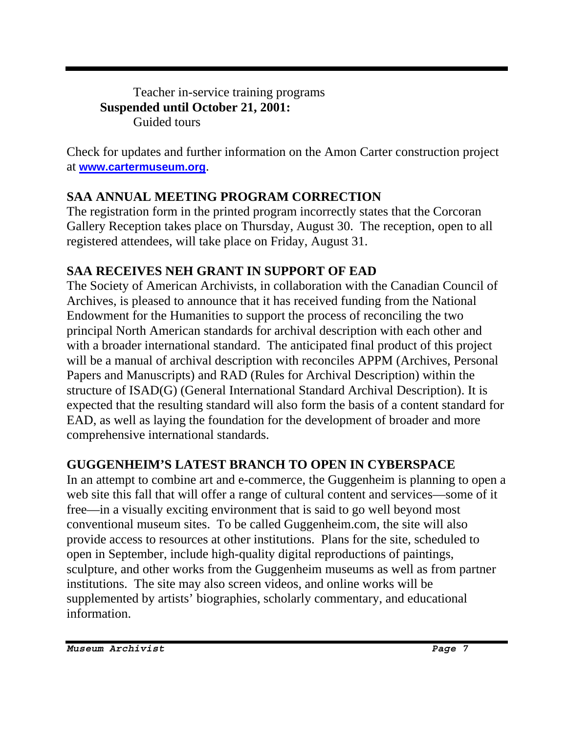Teacher in-service training programs **Suspended until October 21, 2001:**  Guided tours

Check for updates and further information on the Amon Carter construction project at **www.cartermuseum.org**.

# **SAA ANNUAL MEETING PROGRAM CORRECTION**

The registration form in the printed program incorrectly states that the Corcoran Gallery Reception takes place on Thursday, August 30. The reception, open to all registered attendees, will take place on Friday, August 31.

# **SAA RECEIVES NEH GRANT IN SUPPORT OF EAD**

The Society of American Archivists, in collaboration with the Canadian Council of Archives, is pleased to announce that it has received funding from the National Endowment for the Humanities to support the process of reconciling the two principal North American standards for archival description with each other and with a broader international standard. The anticipated final product of this project will be a manual of archival description with reconciles APPM (Archives, Personal Papers and Manuscripts) and RAD (Rules for Archival Description) within the structure of ISAD(G) (General International Standard Archival Description). It is expected that the resulting standard will also form the basis of a content standard for EAD, as well as laying the foundation for the development of broader and more comprehensive international standards.

# **GUGGENHEIM'S LATEST BRANCH TO OPEN IN CYBERSPACE**

In an attempt to combine art and e-commerce, the Guggenheim is planning to open a web site this fall that will offer a range of cultural content and services—some of it free—in a visually exciting environment that is said to go well beyond most conventional museum sites. To be called Guggenheim.com, the site will also provide access to resources at other institutions. Plans for the site, scheduled to open in September, include high-quality digital reproductions of paintings, sculpture, and other works from the Guggenheim museums as well as from partner institutions. The site may also screen videos, and online works will be supplemented by artists' biographies, scholarly commentary, and educational information.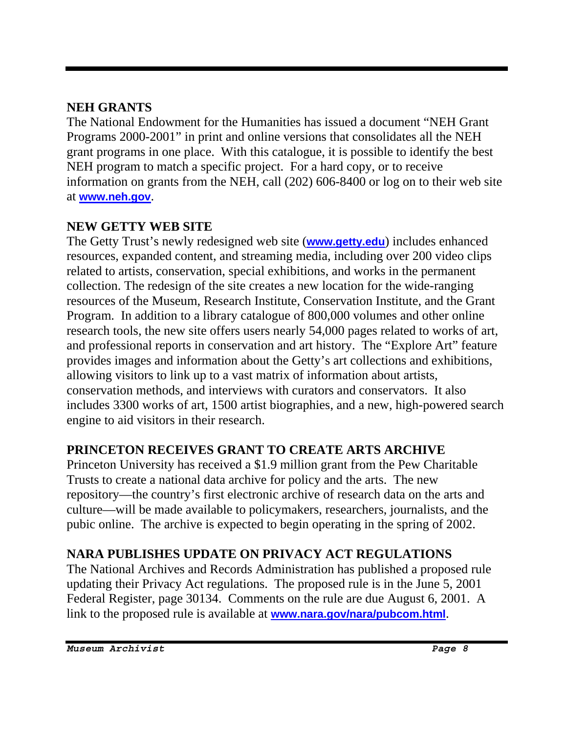### **NEH GRANTS**

The National Endowment for the Humanities has issued a document "NEH Grant Programs 2000-2001" in print and online versions that consolidates all the NEH grant programs in one place. With this catalogue, it is possible to identify the best NEH program to match a specific project. For a hard copy, or to receive information on grants from the NEH, call (202) 606-8400 or log on to their web site at **www.neh.gov**.

# **NEW GETTY WEB SITE**

The Getty Trust's newly redesigned web site (**www.getty.edu**) includes enhanced resources, expanded content, and streaming media, including over 200 video clips related to artists, conservation, special exhibitions, and works in the permanent collection. The redesign of the site creates a new location for the wide-ranging resources of the Museum, Research Institute, Conservation Institute, and the Grant Program. In addition to a library catalogue of 800,000 volumes and other online research tools, the new site offers users nearly 54,000 pages related to works of art, and professional reports in conservation and art history. The "Explore Art" feature provides images and information about the Getty's art collections and exhibitions, allowing visitors to link up to a vast matrix of information about artists, conservation methods, and interviews with curators and conservators. It also includes 3300 works of art, 1500 artist biographies, and a new, high-powered search engine to aid visitors in their research.

# **PRINCETON RECEIVES GRANT TO CREATE ARTS ARCHIVE**

Princeton University has received a \$1.9 million grant from the Pew Charitable Trusts to create a national data archive for policy and the arts. The new repository—the country's first electronic archive of research data on the arts and culture—will be made available to policymakers, researchers, journalists, and the pubic online. The archive is expected to begin operating in the spring of 2002.

# **NARA PUBLISHES UPDATE ON PRIVACY ACT REGULATIONS**

The National Archives and Records Administration has published a proposed rule updating their Privacy Act regulations. The proposed rule is in the June 5, 2001 Federal Register, page 30134. Comments on the rule are due August 6, 2001. A link to the proposed rule is available at **www.nara.gov/nara/pubcom.html**.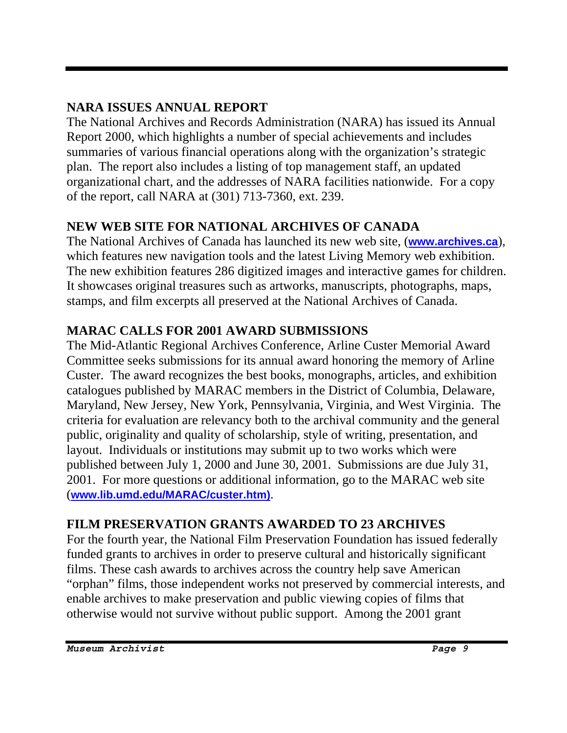# **NARA ISSUES ANNUAL REPORT**

The National Archives and Records Administration (NARA) has issued its Annual Report 2000, which highlights a number of special achievements and includes summaries of various financial operations along with the organization's strategic plan. The report also includes a listing of top management staff, an updated organizational chart, and the addresses of NARA facilities nationwide. For a copy of the report, call NARA at (301) 713-7360, ext. 239.

# **NEW WEB SITE FOR NATIONAL ARCHIVES OF CANADA**

The National Archives of Canada has launched its new web site, (**www.archives.ca**), which features new navigation tools and the latest Living Memory web exhibition. The new exhibition features 286 digitized images and interactive games for children. It showcases original treasures such as artworks, manuscripts, photographs, maps, stamps, and film excerpts all preserved at the National Archives of Canada.

# **MARAC CALLS FOR 2001 AWARD SUBMISSIONS**

The Mid-Atlantic Regional Archives Conference, Arline Custer Memorial Award Committee seeks submissions for its annual award honoring the memory of Arline Custer. The award recognizes the best books, monographs, articles, and exhibition catalogues published by MARAC members in the District of Columbia, Delaware, Maryland, New Jersey, New York, Pennsylvania, Virginia, and West Virginia. The criteria for evaluation are relevancy both to the archival community and the general public, originality and quality of scholarship, style of writing, presentation, and layout. Individuals or institutions may submit up to two works which were published between July 1, 2000 and June 30, 2001. Submissions are due July 31, 2001. For more questions or additional information, go to the MARAC web site (**www.lib.umd.edu/MARAC/custer.htm)**.

# **FILM PRESERVATION GRANTS AWARDED TO 23 ARCHIVES**

For the fourth year, the National Film Preservation Foundation has issued federally funded grants to archives in order to preserve cultural and historically significant films. These cash awards to archives across the country help save American "orphan" films, those independent works not preserved by commercial interests, and enable archives to make preservation and public viewing copies of films that otherwise would not survive without public support. Among the 2001 grant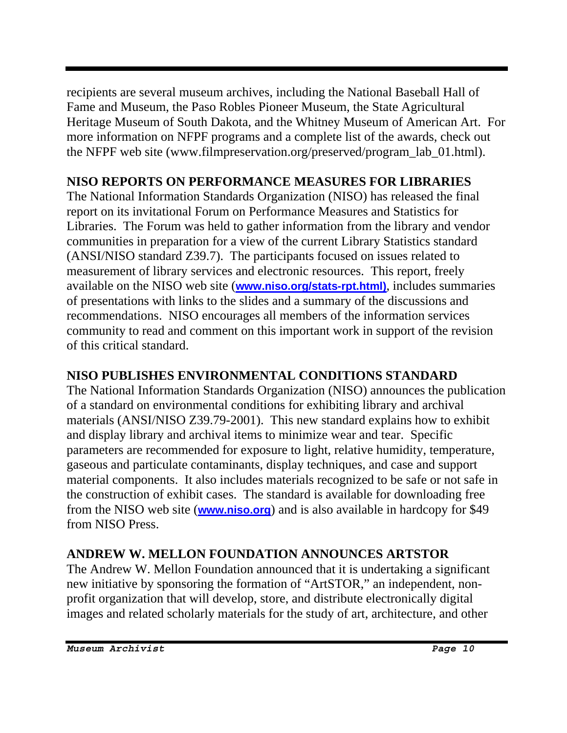recipients are several museum archives, including the National Baseball Hall of Fame and Museum, the Paso Robles Pioneer Museum, the State Agricultural Heritage Museum of South Dakota, and the Whitney Museum of American Art. For more information on NFPF programs and a complete list of the awards, check out the NFPF web site (www.filmpreservation.org/preserved/program\_lab\_01.html).

# **NISO REPORTS ON PERFORMANCE MEASURES FOR LIBRARIES**

The National Information Standards Organization (NISO) has released the final report on its invitational Forum on Performance Measures and Statistics for Libraries. The Forum was held to gather information from the library and vendor communities in preparation for a view of the current Library Statistics standard (ANSI/NISO standard Z39.7). The participants focused on issues related to measurement of library services and electronic resources. This report, freely available on the NISO web site (**www.niso.org/stats-rpt.html)**, includes summaries of presentations with links to the slides and a summary of the discussions and recommendations. NISO encourages all members of the information services community to read and comment on this important work in support of the revision of this critical standard.

# **NISO PUBLISHES ENVIRONMENTAL CONDITIONS STANDARD**

The National Information Standards Organization (NISO) announces the publication of a standard on environmental conditions for exhibiting library and archival materials (ANSI/NISO Z39.79-2001). This new standard explains how to exhibit and display library and archival items to minimize wear and tear. Specific parameters are recommended for exposure to light, relative humidity, temperature, gaseous and particulate contaminants, display techniques, and case and support material components. It also includes materials recognized to be safe or not safe in the construction of exhibit cases. The standard is available for downloading free from the NISO web site (**www.niso.org**) and is also available in hardcopy for \$49 from NISO Press.

# **ANDREW W. MELLON FOUNDATION ANNOUNCES ARTSTOR**

The Andrew W. Mellon Foundation announced that it is undertaking a significant new initiative by sponsoring the formation of "ArtSTOR," an independent, nonprofit organization that will develop, store, and distribute electronically digital images and related scholarly materials for the study of art, architecture, and other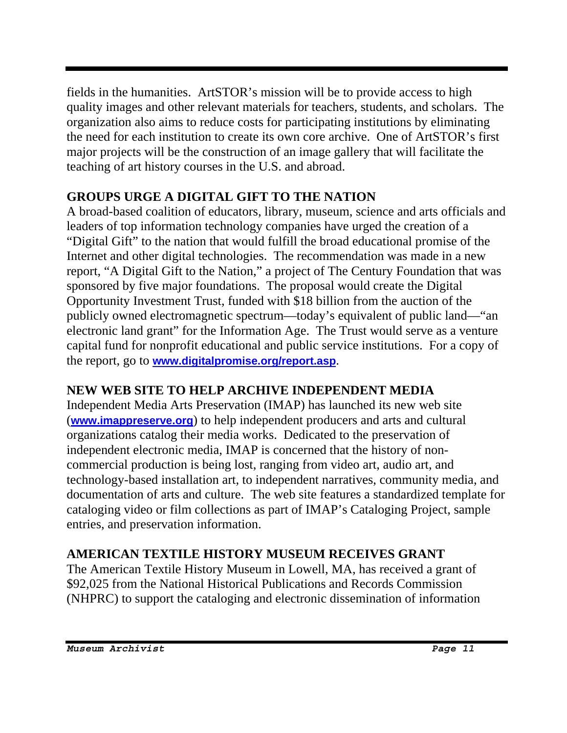fields in the humanities. ArtSTOR's mission will be to provide access to high quality images and other relevant materials for teachers, students, and scholars. The organization also aims to reduce costs for participating institutions by eliminating the need for each institution to create its own core archive. One of ArtSTOR's first major projects will be the construction of an image gallery that will facilitate the teaching of art history courses in the U.S. and abroad.

# **GROUPS URGE A DIGITAL GIFT TO THE NATION**

A broad-based coalition of educators, library, museum, science and arts officials and leaders of top information technology companies have urged the creation of a "Digital Gift" to the nation that would fulfill the broad educational promise of the Internet and other digital technologies. The recommendation was made in a new report, "A Digital Gift to the Nation," a project of The Century Foundation that was sponsored by five major foundations. The proposal would create the Digital Opportunity Investment Trust, funded with \$18 billion from the auction of the publicly owned electromagnetic spectrum—today's equivalent of public land—"an electronic land grant" for the Information Age. The Trust would serve as a venture capital fund for nonprofit educational and public service institutions. For a copy of the report, go to **www.digitalpromise.org/report.asp**.

# **NEW WEB SITE TO HELP ARCHIVE INDEPENDENT MEDIA**

Independent Media Arts Preservation (IMAP) has launched its new web site (**www.imappreserve.org**) to help independent producers and arts and cultural organizations catalog their media works. Dedicated to the preservation of independent electronic media, IMAP is concerned that the history of noncommercial production is being lost, ranging from video art, audio art, and technology-based installation art, to independent narratives, community media, and documentation of arts and culture. The web site features a standardized template for cataloging video or film collections as part of IMAP's Cataloging Project, sample entries, and preservation information.

# **AMERICAN TEXTILE HISTORY MUSEUM RECEIVES GRANT**

The American Textile History Museum in Lowell, MA, has received a grant of \$92,025 from the National Historical Publications and Records Commission (NHPRC) to support the cataloging and electronic dissemination of information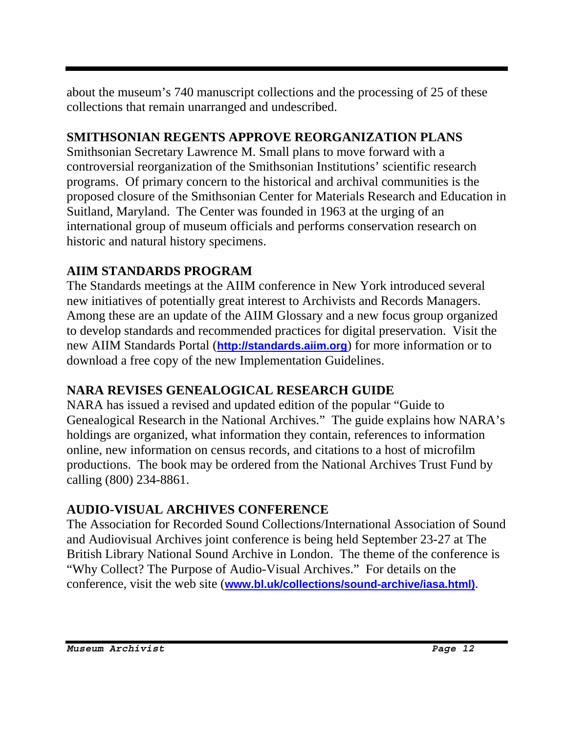about the museum's 740 manuscript collections and the processing of 25 of these collections that remain unarranged and undescribed.

# **SMITHSONIAN REGENTS APPROVE REORGANIZATION PLANS**

Smithsonian Secretary Lawrence M. Small plans to move forward with a controversial reorganization of the Smithsonian Institutions' scientific research programs. Of primary concern to the historical and archival communities is the proposed closure of the Smithsonian Center for Materials Research and Education in Suitland, Maryland. The Center was founded in 1963 at the urging of an international group of museum officials and performs conservation research on historic and natural history specimens.

# **AIIM STANDARDS PROGRAM**

The Standards meetings at the AIIM conference in New York introduced several new initiatives of potentially great interest to Archivists and Records Managers. Among these are an update of the AIIM Glossary and a new focus group organized to develop standards and recommended practices for digital preservation. Visit the new AIIM Standards Portal (**http://standards.aiim.org**) for more information or to download a free copy of the new Implementation Guidelines.

# **NARA REVISES GENEALOGICAL RESEARCH GUIDE**

NARA has issued a revised and updated edition of the popular "Guide to Genealogical Research in the National Archives." The guide explains how NARA's holdings are organized, what information they contain, references to information online, new information on census records, and citations to a host of microfilm productions. The book may be ordered from the National Archives Trust Fund by calling (800) 234-8861.

# **AUDIO-VISUAL ARCHIVES CONFERENCE**

The Association for Recorded Sound Collections/International Association of Sound and Audiovisual Archives joint conference is being held September 23-27 at The British Library National Sound Archive in London. The theme of the conference is "Why Collect? The Purpose of Audio-Visual Archives." For details on the conference, visit the web site (**www.bl.uk/collections/sound-archive/iasa.html)**.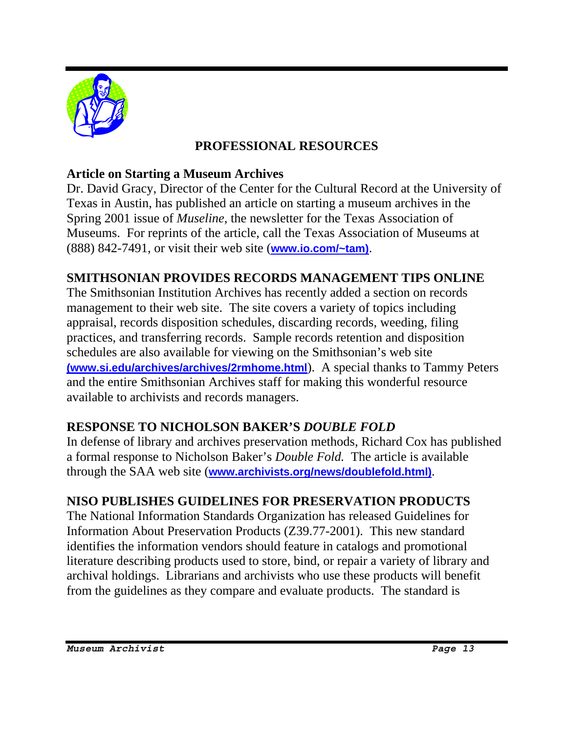

### **PROFESSIONAL RESOURCES**

### **Article on Starting a Museum Archives**

Dr. David Gracy, Director of the Center for the Cultural Record at the University of Texas in Austin, has published an article on starting a museum archives in the Spring 2001 issue of *Museline*, the newsletter for the Texas Association of Museums. For reprints of the article, call the Texas Association of Museums at (888) 842-7491, or visit their web site (**www.io.com/~tam)**.

### **SMITHSONIAN PROVIDES RECORDS MANAGEMENT TIPS ONLINE**

The Smithsonian Institution Archives has recently added a section on records management to their web site. The site covers a variety of topics including appraisal, records disposition schedules, discarding records, weeding, filing practices, and transferring records. Sample records retention and disposition schedules are also available for viewing on the Smithsonian's web site **(www.si.edu/archives/archives/2rmhome.html**). A special thanks to Tammy Peters and the entire Smithsonian Archives staff for making this wonderful resource available to archivists and records managers.

### **RESPONSE TO NICHOLSON BAKER'S** *DOUBLE FOLD*

In defense of library and archives preservation methods, Richard Cox has published a formal response to Nicholson Baker's *Double Fold.* The article is available through the SAA web site (**www.archivists.org/news/doublefold.html)**.

### **NISO PUBLISHES GUIDELINES FOR PRESERVATION PRODUCTS**

The National Information Standards Organization has released Guidelines for Information About Preservation Products (Z39.77-2001). This new standard identifies the information vendors should feature in catalogs and promotional literature describing products used to store, bind, or repair a variety of library and archival holdings. Librarians and archivists who use these products will benefit from the guidelines as they compare and evaluate products. The standard is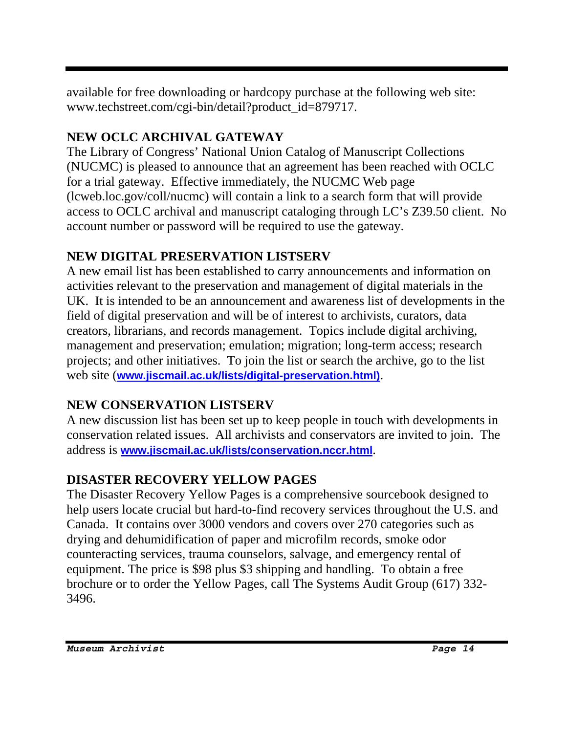available for free downloading or hardcopy purchase at the following web site: www.techstreet.com/cgi-bin/detail?product\_id=879717.

# **NEW OCLC ARCHIVAL GATEWAY**

The Library of Congress' National Union Catalog of Manuscript Collections (NUCMC) is pleased to announce that an agreement has been reached with OCLC for a trial gateway. Effective immediately, the NUCMC Web page (lcweb.loc.gov/coll/nucmc) will contain a link to a search form that will provide access to OCLC archival and manuscript cataloging through LC's Z39.50 client. No account number or password will be required to use the gateway.

# **NEW DIGITAL PRESERVATION LISTSERV**

A new email list has been established to carry announcements and information on activities relevant to the preservation and management of digital materials in the UK. It is intended to be an announcement and awareness list of developments in the field of digital preservation and will be of interest to archivists, curators, data creators, librarians, and records management. Topics include digital archiving, management and preservation; emulation; migration; long-term access; research projects; and other initiatives. To join the list or search the archive, go to the list web site (**www.jiscmail.ac.uk/lists/digital-preservation.html)**.

# **NEW CONSERVATION LISTSERV**

A new discussion list has been set up to keep people in touch with developments in conservation related issues. All archivists and conservators are invited to join. The address is **www.jiscmail.ac.uk/lists/conservation.nccr.html**.

# **DISASTER RECOVERY YELLOW PAGES**

The Disaster Recovery Yellow Pages is a comprehensive sourcebook designed to help users locate crucial but hard-to-find recovery services throughout the U.S. and Canada. It contains over 3000 vendors and covers over 270 categories such as drying and dehumidification of paper and microfilm records, smoke odor counteracting services, trauma counselors, salvage, and emergency rental of equipment. The price is \$98 plus \$3 shipping and handling. To obtain a free brochure or to order the Yellow Pages, call The Systems Audit Group (617) 332- 3496.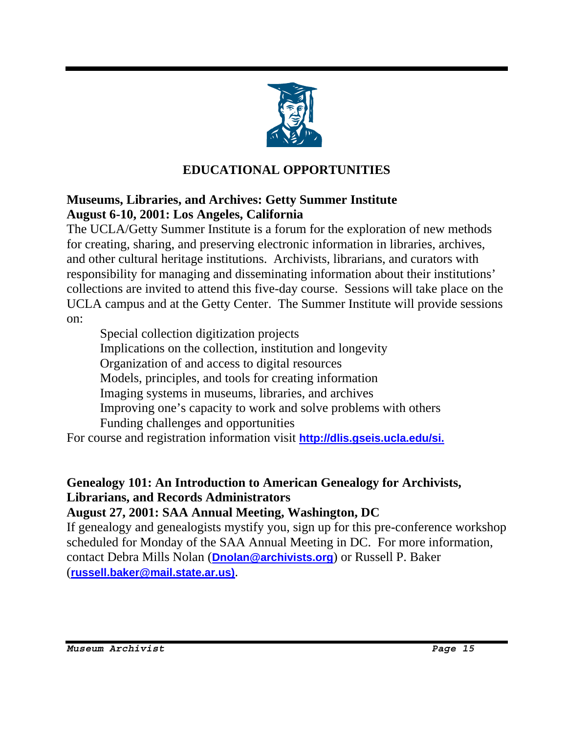

# **EDUCATIONAL OPPORTUNITIES**

### **Museums, Libraries, and Archives: Getty Summer Institute August 6-10, 2001: Los Angeles, California**

The UCLA/Getty Summer Institute is a forum for the exploration of new methods for creating, sharing, and preserving electronic information in libraries, archives, and other cultural heritage institutions. Archivists, librarians, and curators with responsibility for managing and disseminating information about their institutions' collections are invited to attend this five-day course. Sessions will take place on the UCLA campus and at the Getty Center. The Summer Institute will provide sessions on:

 Special collection digitization projects Implications on the collection, institution and longevity Organization of and access to digital resources Models, principles, and tools for creating information Imaging systems in museums, libraries, and archives Improving one's capacity to work and solve problems with others Funding challenges and opportunities

For course and registration information visit **http://dlis.gseis.ucla.edu/si.**

# **Genealogy 101: An Introduction to American Genealogy for Archivists, Librarians, and Records Administrators**

#### **August 27, 2001: SAA Annual Meeting, Washington, DC**

If genealogy and genealogists mystify you, sign up for this pre-conference workshop scheduled for Monday of the SAA Annual Meeting in DC. For more information, contact Debra Mills Nolan (**Dnolan@archivists.org**) or Russell P. Baker (**russell.baker@mail.state.ar.us)**.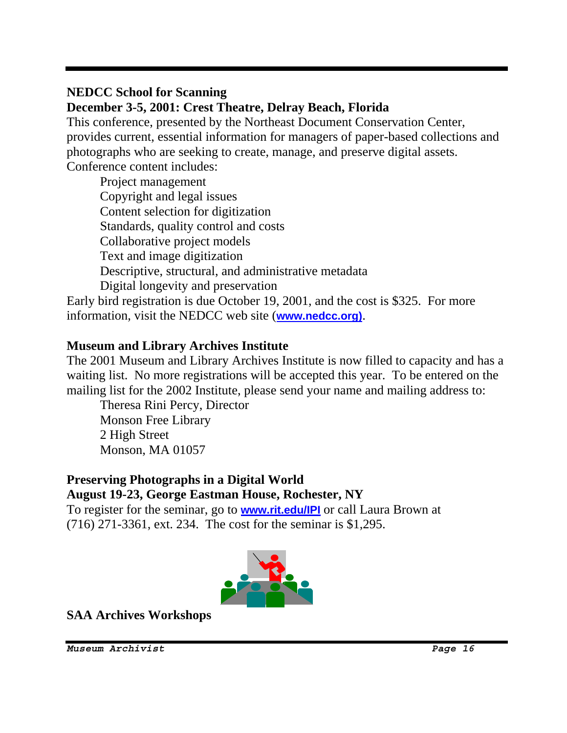### **NEDCC School for Scanning**

**December 3-5, 2001: Crest Theatre, Delray Beach, Florida** 

This conference, presented by the Northeast Document Conservation Center, provides current, essential information for managers of paper-based collections and photographs who are seeking to create, manage, and preserve digital assets. Conference content includes:

Project management Copyright and legal issues Content selection for digitization Standards, quality control and costs Collaborative project models Text and image digitization Descriptive, structural, and administrative metadata Digital longevity and preservation

Early bird registration is due October 19, 2001, and the cost is \$325. For more information, visit the NEDCC web site (**www.nedcc.org)**.

### **Museum and Library Archives Institute**

The 2001 Museum and Library Archives Institute is now filled to capacity and has a waiting list. No more registrations will be accepted this year. To be entered on the mailing list for the 2002 Institute, please send your name and mailing address to:

 Theresa Rini Percy, Director Monson Free Library 2 High Street Monson, MA 01057

#### **Preserving Photographs in a Digital World August 19-23, George Eastman House, Rochester, NY**

To register for the seminar, go to **www.rit.edu/IPI** or call Laura Brown at (716) 271-3361, ext. 234. The cost for the seminar is \$1,295.



**SAA Archives Workshops**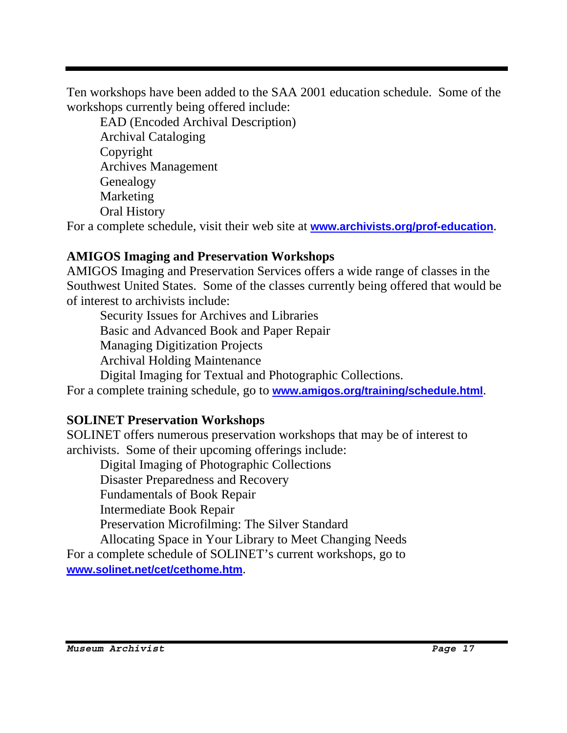Ten workshops have been added to the SAA 2001 education schedule. Some of the workshops currently being offered include:

EAD (Encoded Archival Description) Archival Cataloging Copyright Archives Management Genealogy Marketing Oral History

For a complete schedule, visit their web site at **www.archivists.org/prof-education**.

### **AMIGOS Imaging and Preservation Workshops**

AMIGOS Imaging and Preservation Services offers a wide range of classes in the Southwest United States. Some of the classes currently being offered that would be of interest to archivists include:

 Security Issues for Archives and Libraries Basic and Advanced Book and Paper Repair Managing Digitization Projects Archival Holding Maintenance

Digital Imaging for Textual and Photographic Collections.

For a complete training schedule, go to **www.amigos.org/training/schedule.html**.

### **SOLINET Preservation Workshops**

SOLINET offers numerous preservation workshops that may be of interest to archivists. Some of their upcoming offerings include:

 Digital Imaging of Photographic Collections Disaster Preparedness and Recovery Fundamentals of Book Repair Intermediate Book Repair Preservation Microfilming: The Silver Standard Allocating Space in Your Library to Meet Changing Needs For a complete schedule of SOLINET's current workshops, go to

**www.solinet.net/cet/cethome.htm**.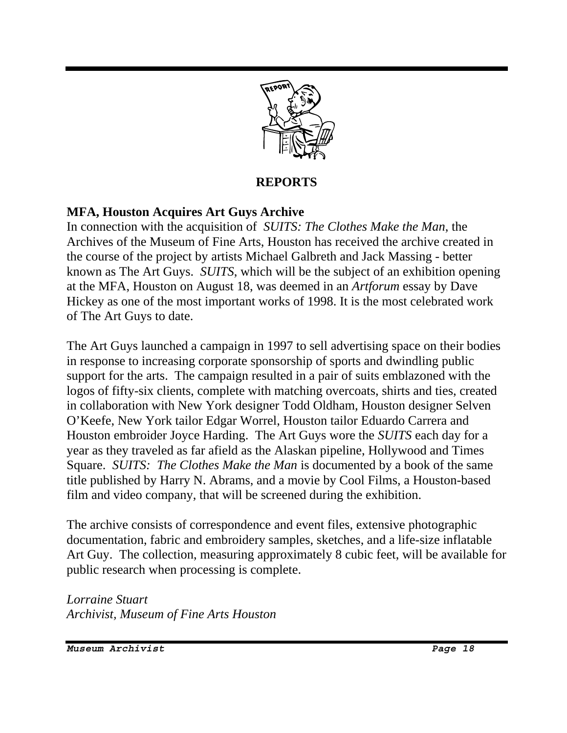

#### **REPORTS**

### **MFA, Houston Acquires Art Guys Archive**

In connection with the acquisition of *SUITS: The Clothes Make the Man*, the Archives of the Museum of Fine Arts, Houston has received the archive created in the course of the project by artists Michael Galbreth and Jack Massing - better known as The Art Guys. *SUITS*, which will be the subject of an exhibition opening at the MFA, Houston on August 18, was deemed in an *Artforum* essay by Dave Hickey as one of the most important works of 1998. It is the most celebrated work of The Art Guys to date.

The Art Guys launched a campaign in 1997 to sell advertising space on their bodies in response to increasing corporate sponsorship of sports and dwindling public support for the arts. The campaign resulted in a pair of suits emblazoned with the logos of fifty-six clients, complete with matching overcoats, shirts and ties, created in collaboration with New York designer Todd Oldham, Houston designer Selven O'Keefe, New York tailor Edgar Worrel, Houston tailor Eduardo Carrera and Houston embroider Joyce Harding. The Art Guys wore the *SUITS* each day for a year as they traveled as far afield as the Alaskan pipeline, Hollywood and Times Square. *SUITS: The Clothes Make the Man* is documented by a book of the same title published by Harry N. Abrams, and a movie by Cool Films, a Houston-based film and video company, that will be screened during the exhibition.

The archive consists of correspondence and event files, extensive photographic documentation, fabric and embroidery samples, sketches, and a life-size inflatable Art Guy. The collection, measuring approximately 8 cubic feet, will be available for public research when processing is complete.

*Lorraine Stuart Archivist, Museum of Fine Arts Houston*

*Museum Archivist Page 18*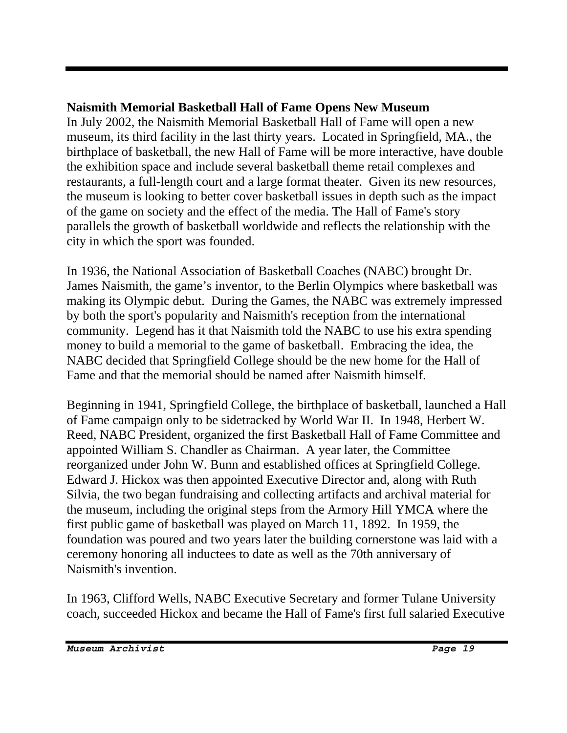# **Naismith Memorial Basketball Hall of Fame Opens New Museum**

In July 2002, the Naismith Memorial Basketball Hall of Fame will open a new museum, its third facility in the last thirty years. Located in Springfield, MA., the birthplace of basketball, the new Hall of Fame will be more interactive, have double the exhibition space and include several basketball theme retail complexes and restaurants, a full-length court and a large format theater. Given its new resources, the museum is looking to better cover basketball issues in depth such as the impact of the game on society and the effect of the media. The Hall of Fame's story parallels the growth of basketball worldwide and reflects the relationship with the city in which the sport was founded.

In 1936, the National Association of Basketball Coaches (NABC) brought Dr. James Naismith, the game's inventor, to the Berlin Olympics where basketball was making its Olympic debut. During the Games, the NABC was extremely impressed by both the sport's popularity and Naismith's reception from the international community. Legend has it that Naismith told the NABC to use his extra spending money to build a memorial to the game of basketball. Embracing the idea, the NABC decided that Springfield College should be the new home for the Hall of Fame and that the memorial should be named after Naismith himself.

Beginning in 1941, Springfield College, the birthplace of basketball, launched a Hall of Fame campaign only to be sidetracked by World War II. In 1948, Herbert W. Reed, NABC President, organized the first Basketball Hall of Fame Committee and appointed William S. Chandler as Chairman. A year later, the Committee reorganized under John W. Bunn and established offices at Springfield College. Edward J. Hickox was then appointed Executive Director and, along with Ruth Silvia, the two began fundraising and collecting artifacts and archival material for the museum, including the original steps from the Armory Hill YMCA where the first public game of basketball was played on March 11, 1892. In 1959, the foundation was poured and two years later the building cornerstone was laid with a ceremony honoring all inductees to date as well as the 70th anniversary of Naismith's invention.

In 1963, Clifford Wells, NABC Executive Secretary and former Tulane University coach, succeeded Hickox and became the Hall of Fame's first full salaried Executive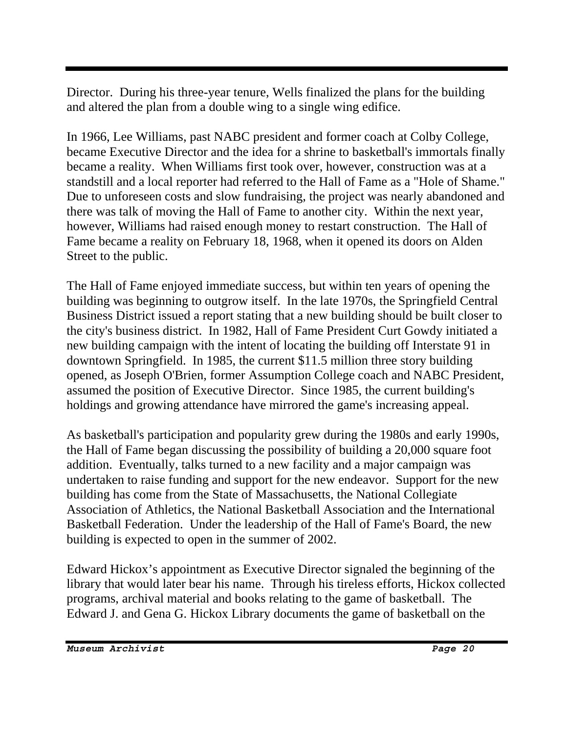Director. During his three-year tenure, Wells finalized the plans for the building and altered the plan from a double wing to a single wing edifice.

In 1966, Lee Williams, past NABC president and former coach at Colby College, became Executive Director and the idea for a shrine to basketball's immortals finally became a reality. When Williams first took over, however, construction was at a standstill and a local reporter had referred to the Hall of Fame as a "Hole of Shame." Due to unforeseen costs and slow fundraising, the project was nearly abandoned and there was talk of moving the Hall of Fame to another city. Within the next year, however, Williams had raised enough money to restart construction. The Hall of Fame became a reality on February 18, 1968, when it opened its doors on Alden Street to the public.

The Hall of Fame enjoyed immediate success, but within ten years of opening the building was beginning to outgrow itself. In the late 1970s, the Springfield Central Business District issued a report stating that a new building should be built closer to the city's business district. In 1982, Hall of Fame President Curt Gowdy initiated a new building campaign with the intent of locating the building off Interstate 91 in downtown Springfield. In 1985, the current \$11.5 million three story building opened, as Joseph O'Brien, former Assumption College coach and NABC President, assumed the position of Executive Director. Since 1985, the current building's holdings and growing attendance have mirrored the game's increasing appeal.

As basketball's participation and popularity grew during the 1980s and early 1990s, the Hall of Fame began discussing the possibility of building a 20,000 square foot addition. Eventually, talks turned to a new facility and a major campaign was undertaken to raise funding and support for the new endeavor. Support for the new building has come from the State of Massachusetts, the National Collegiate Association of Athletics, the National Basketball Association and the International Basketball Federation. Under the leadership of the Hall of Fame's Board, the new building is expected to open in the summer of 2002.

Edward Hickox's appointment as Executive Director signaled the beginning of the library that would later bear his name. Through his tireless efforts, Hickox collected programs, archival material and books relating to the game of basketball. The Edward J. and Gena G. Hickox Library documents the game of basketball on the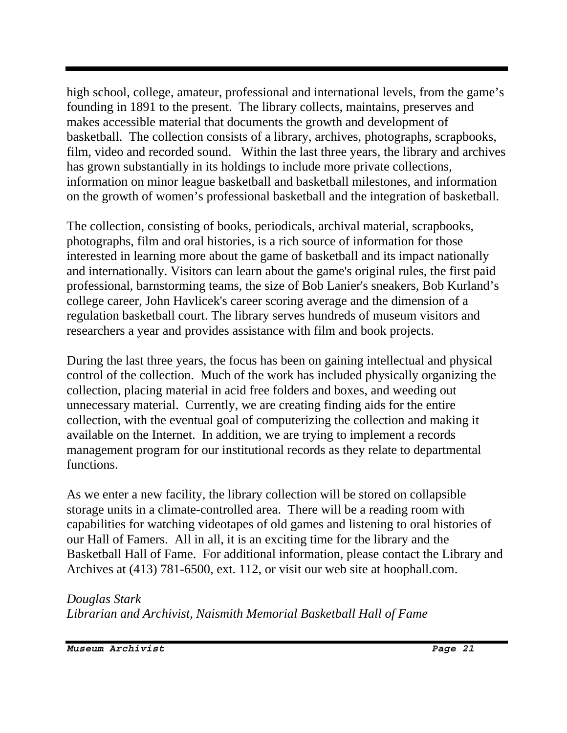high school, college, amateur, professional and international levels, from the game's founding in 1891 to the present. The library collects, maintains, preserves and makes accessible material that documents the growth and development of basketball. The collection consists of a library, archives, photographs, scrapbooks, film, video and recorded sound. Within the last three years, the library and archives has grown substantially in its holdings to include more private collections, information on minor league basketball and basketball milestones, and information on the growth of women's professional basketball and the integration of basketball.

The collection, consisting of books, periodicals, archival material, scrapbooks, photographs, film and oral histories, is a rich source of information for those interested in learning more about the game of basketball and its impact nationally and internationally. Visitors can learn about the game's original rules, the first paid professional, barnstorming teams, the size of Bob Lanier's sneakers, Bob Kurland's college career, John Havlicek's career scoring average and the dimension of a regulation basketball court. The library serves hundreds of museum visitors and researchers a year and provides assistance with film and book projects.

During the last three years, the focus has been on gaining intellectual and physical control of the collection. Much of the work has included physically organizing the collection, placing material in acid free folders and boxes, and weeding out unnecessary material. Currently, we are creating finding aids for the entire collection, with the eventual goal of computerizing the collection and making it available on the Internet. In addition, we are trying to implement a records management program for our institutional records as they relate to departmental functions.

As we enter a new facility, the library collection will be stored on collapsible storage units in a climate-controlled area. There will be a reading room with capabilities for watching videotapes of old games and listening to oral histories of our Hall of Famers. All in all, it is an exciting time for the library and the Basketball Hall of Fame. For additional information, please contact the Library and Archives at (413) 781-6500, ext. 112, or visit our web site at hoophall.com.

### *Douglas Stark*

*Librarian and Archivist, Naismith Memorial Basketball Hall of Fame*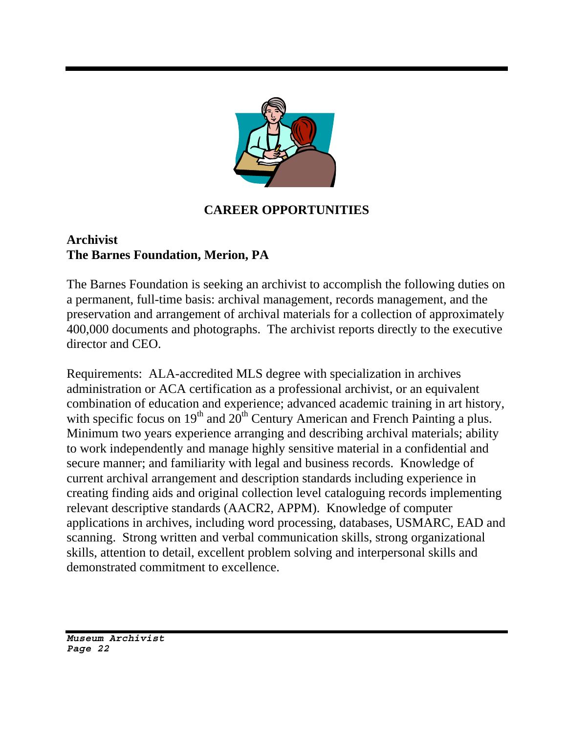

### **CAREER OPPORTUNITIES**

### **Archivist The Barnes Foundation, Merion, PA**

The Barnes Foundation is seeking an archivist to accomplish the following duties on a permanent, full-time basis: archival management, records management, and the preservation and arrangement of archival materials for a collection of approximately 400,000 documents and photographs. The archivist reports directly to the executive director and CEO.

Requirements: ALA-accredited MLS degree with specialization in archives administration or ACA certification as a professional archivist, or an equivalent combination of education and experience; advanced academic training in art history, with specific focus on  $19<sup>th</sup>$  and  $20<sup>th</sup>$  Century American and French Painting a plus. Minimum two years experience arranging and describing archival materials; ability to work independently and manage highly sensitive material in a confidential and secure manner; and familiarity with legal and business records. Knowledge of current archival arrangement and description standards including experience in creating finding aids and original collection level cataloguing records implementing relevant descriptive standards (AACR2, APPM). Knowledge of computer applications in archives, including word processing, databases, USMARC, EAD and scanning. Strong written and verbal communication skills, strong organizational skills, attention to detail, excellent problem solving and interpersonal skills and demonstrated commitment to excellence.